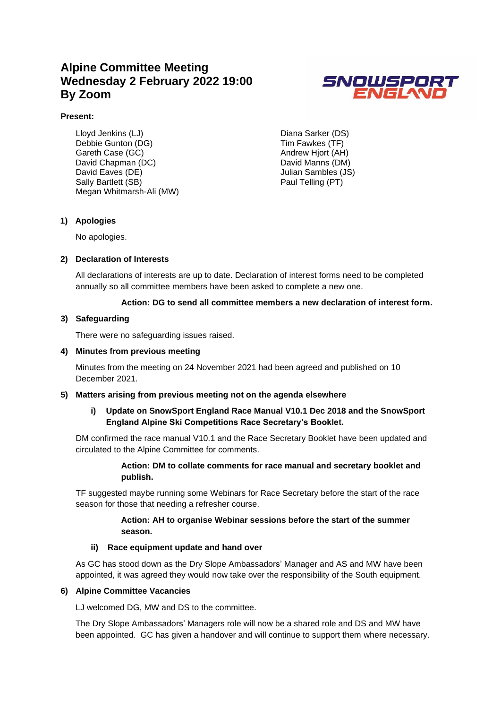## **Alpine Committee Meeting Wednesday 2 February 2022 19:00 By Zoom**



### **Present:**

Lloyd Jenkins (LJ) Debbie Gunton (DG) Gareth Case (GC) David Chapman (DC) David Eaves (DE) Sally Bartlett (SB) Megan Whitmarsh-Ali (MW) Diana Sarker (DS) Tim Fawkes (TF) Andrew Hjort (AH) David Manns (DM) Julian Sambles (JS) Paul Telling (PT)

### **1) Apologies**

No apologies.

### **2) Declaration of Interests**

All declarations of interests are up to date. Declaration of interest forms need to be completed annually so all committee members have been asked to complete a new one.

### **Action: DG to send all committee members a new declaration of interest form.**

### **3) Safeguarding**

There were no safeguarding issues raised.

### **4) Minutes from previous meeting**

Minutes from the meeting on 24 November 2021 had been agreed and published on 10 December 2021.

### **5) Matters arising from previous meeting not on the agenda elsewhere**

### **i) Update on SnowSport England Race Manual V10.1 Dec 2018 and the SnowSport England Alpine Ski Competitions Race Secretary's Booklet.**

DM confirmed the race manual V10.1 and the Race Secretary Booklet have been updated and circulated to the Alpine Committee for comments.

### **Action: DM to collate comments for race manual and secretary booklet and publish.**

TF suggested maybe running some Webinars for Race Secretary before the start of the race season for those that needing a refresher course.

### **Action: AH to organise Webinar sessions before the start of the summer season.**

### **ii) Race equipment update and hand over**

As GC has stood down as the Dry Slope Ambassadors' Manager and AS and MW have been appointed, it was agreed they would now take over the responsibility of the South equipment.

### **6) Alpine Committee Vacancies**

LJ welcomed DG, MW and DS to the committee.

The Dry Slope Ambassadors' Managers role will now be a shared role and DS and MW have been appointed. GC has given a handover and will continue to support them where necessary.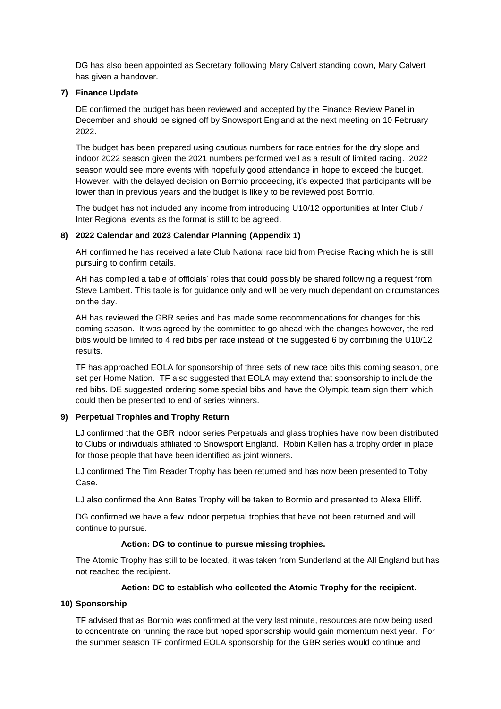DG has also been appointed as Secretary following Mary Calvert standing down, Mary Calvert has given a handover.

### **7) Finance Update**

DE confirmed the budget has been reviewed and accepted by the Finance Review Panel in December and should be signed off by Snowsport England at the next meeting on 10 February 2022.

The budget has been prepared using cautious numbers for race entries for the dry slope and indoor 2022 season given the 2021 numbers performed well as a result of limited racing. 2022 season would see more events with hopefully good attendance in hope to exceed the budget. However, with the delayed decision on Bormio proceeding, it's expected that participants will be lower than in previous years and the budget is likely to be reviewed post Bormio.

The budget has not included any income from introducing U10/12 opportunities at Inter Club / Inter Regional events as the format is still to be agreed.

### **8) 2022 Calendar and 2023 Calendar Planning (Appendix 1)**

AH confirmed he has received a late Club National race bid from Precise Racing which he is still pursuing to confirm details.

AH has compiled a table of officials' roles that could possibly be shared following a request from Steve Lambert. This table is for guidance only and will be very much dependant on circumstances on the day.

AH has reviewed the GBR series and has made some recommendations for changes for this coming season. It was agreed by the committee to go ahead with the changes however, the red bibs would be limited to 4 red bibs per race instead of the suggested 6 by combining the U10/12 results.

TF has approached EOLA for sponsorship of three sets of new race bibs this coming season, one set per Home Nation. TF also suggested that EOLA may extend that sponsorship to include the red bibs. DE suggested ordering some special bibs and have the Olympic team sign them which could then be presented to end of series winners.

### **9) Perpetual Trophies and Trophy Return**

LJ confirmed that the GBR indoor series Perpetuals and glass trophies have now been distributed to Clubs or individuals affiliated to Snowsport England. Robin Kellen has a trophy order in place for those people that have been identified as joint winners.

LJ confirmed The Tim Reader Trophy has been returned and has now been presented to Toby Case.

LJ also confirmed the Ann Bates Trophy will be taken to Bormio and presented to Alexa Elliff.

DG confirmed we have a few indoor perpetual trophies that have not been returned and will continue to pursue.

### **Action: DG to continue to pursue missing trophies.**

The Atomic Trophy has still to be located, it was taken from Sunderland at the All England but has not reached the recipient.

### **Action: DC to establish who collected the Atomic Trophy for the recipient.**

### **10) Sponsorship**

TF advised that as Bormio was confirmed at the very last minute, resources are now being used to concentrate on running the race but hoped sponsorship would gain momentum next year. For the summer season TF confirmed EOLA sponsorship for the GBR series would continue and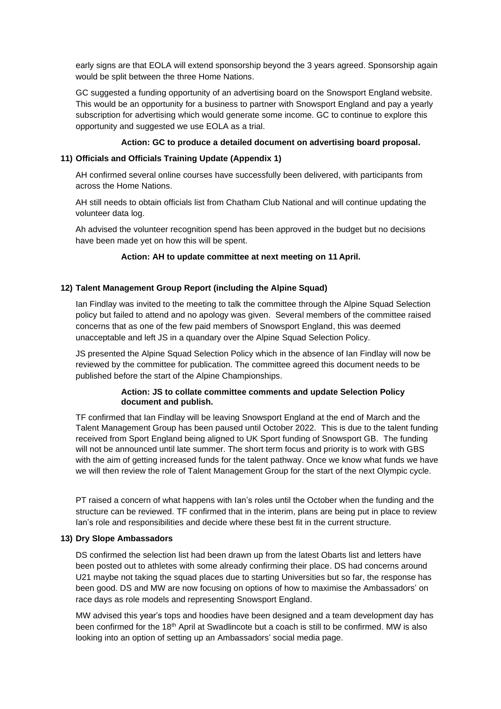early signs are that EOLA will extend sponsorship beyond the 3 years agreed. Sponsorship again would be split between the three Home Nations.

GC suggested a funding opportunity of an advertising board on the Snowsport England website. This would be an opportunity for a business to partner with Snowsport England and pay a yearly subscription for advertising which would generate some income. GC to continue to explore this opportunity and suggested we use EOLA as a trial.

### **Action: GC to produce a detailed document on advertising board proposal.**

### **11) Officials and Officials Training Update (Appendix 1)**

AH confirmed several online courses have successfully been delivered, with participants from across the Home Nations.

AH still needs to obtain officials list from Chatham Club National and will continue updating the volunteer data log.

Ah advised the volunteer recognition spend has been approved in the budget but no decisions have been made yet on how this will be spent.

### **Action: AH to update committee at next meeting on 11 April.**

### **12) Talent Management Group Report (including the Alpine Squad)**

Ian Findlay was invited to the meeting to talk the committee through the Alpine Squad Selection policy but failed to attend and no apology was given. Several members of the committee raised concerns that as one of the few paid members of Snowsport England, this was deemed unacceptable and left JS in a quandary over the Alpine Squad Selection Policy.

JS presented the Alpine Squad Selection Policy which in the absence of Ian Findlay will now be reviewed by the committee for publication. The committee agreed this document needs to be published before the start of the Alpine Championships.

### **Action: JS to collate committee comments and update Selection Policy document and publish.**

TF confirmed that Ian Findlay will be leaving Snowsport England at the end of March and the Talent Management Group has been paused until October 2022. This is due to the talent funding received from Sport England being aligned to UK Sport funding of Snowsport GB. The funding will not be announced until late summer. The short term focus and priority is to work with GBS with the aim of getting increased funds for the talent pathway. Once we know what funds we have we will then review the role of Talent Management Group for the start of the next Olympic cycle.

PT raised a concern of what happens with Ian's roles until the October when the funding and the structure can be reviewed. TF confirmed that in the interim, plans are being put in place to review Ian's role and responsibilities and decide where these best fit in the current structure.

### **13) Dry Slope Ambassadors**

DS confirmed the selection list had been drawn up from the latest Obarts list and letters have been posted out to athletes with some already confirming their place. DS had concerns around U21 maybe not taking the squad places due to starting Universities but so far, the response has been good. DS and MW are now focusing on options of how to maximise the Ambassadors' on race days as role models and representing Snowsport England.

MW advised this year's tops and hoodies have been designed and a team development day has been confirmed for the 18<sup>th</sup> April at Swadlincote but a coach is still to be confirmed. MW is also looking into an option of setting up an Ambassadors' social media page.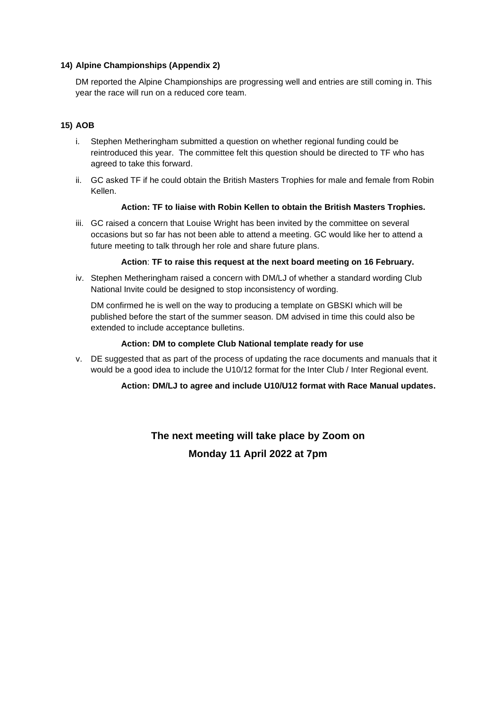### **14) Alpine Championships (Appendix 2)**

DM reported the Alpine Championships are progressing well and entries are still coming in. This year the race will run on a reduced core team.

### **15) AOB**

- i. Stephen Metheringham submitted a question on whether regional funding could be reintroduced this year. The committee felt this question should be directed to TF who has agreed to take this forward.
- ii. GC asked TF if he could obtain the British Masters Trophies for male and female from Robin Kellen.

### **Action: TF to liaise with Robin Kellen to obtain the British Masters Trophies.**

iii. GC raised a concern that Louise Wright has been invited by the committee on several occasions but so far has not been able to attend a meeting. GC would like her to attend a future meeting to talk through her role and share future plans.

### **Action**: **TF to raise this request at the next board meeting on 16 February.**

iv. Stephen Metheringham raised a concern with DM/LJ of whether a standard wording Club National Invite could be designed to stop inconsistency of wording.

DM confirmed he is well on the way to producing a template on GBSKI which will be published before the start of the summer season. DM advised in time this could also be extended to include acceptance bulletins.

### **Action: DM to complete Club National template ready for use**

v. DE suggested that as part of the process of updating the race documents and manuals that it would be a good idea to include the U10/12 format for the Inter Club / Inter Regional event.

### **Action: DM/LJ to agree and include U10/U12 format with Race Manual updates.**

**The next meeting will take place by Zoom on Monday 11 April 2022 at 7pm**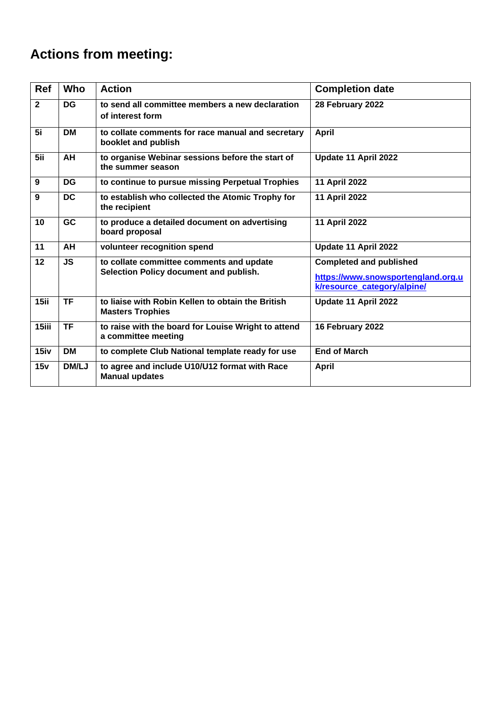# **Actions from meeting:**

| <b>Ref</b>     | Who                      | <b>Action</b>                                                                      | <b>Completion date</b>                                                                              |
|----------------|--------------------------|------------------------------------------------------------------------------------|-----------------------------------------------------------------------------------------------------|
| $\overline{2}$ | <b>DG</b>                | to send all committee members a new declaration<br>of interest form                | 28 February 2022                                                                                    |
| 5i             | <b>DM</b>                | to collate comments for race manual and secretary<br>booklet and publish           | <b>April</b>                                                                                        |
| 5ii            | AH                       | to organise Webinar sessions before the start of<br>the summer season              | Update 11 April 2022                                                                                |
| 9              | <b>DG</b>                | to continue to pursue missing Perpetual Trophies                                   | <b>11 April 2022</b>                                                                                |
| 9              | <b>DC</b>                | to establish who collected the Atomic Trophy for<br>the recipient                  | 11 April 2022                                                                                       |
| 10             | <b>GC</b>                | to produce a detailed document on advertising<br>board proposal                    | <b>11 April 2022</b>                                                                                |
| 11             | AH                       | volunteer recognition spend                                                        | Update 11 April 2022                                                                                |
| 12             | <b>JS</b>                | to collate committee comments and update<br>Selection Policy document and publish. | <b>Completed and published</b><br>https://www.snowsportengland.org.u<br>k/resource_category/alpine/ |
| 15ii           | $\overline{\mathsf{TF}}$ | to liaise with Robin Kellen to obtain the British<br><b>Masters Trophies</b>       | Update 11 April 2022                                                                                |
| 15iii          | <b>TF</b>                | to raise with the board for Louise Wright to attend<br>a committee meeting         | 16 February 2022                                                                                    |
| 15iv           | <b>DM</b>                | to complete Club National template ready for use                                   | <b>End of March</b>                                                                                 |
| 15v            | <b>DM/LJ</b>             | to agree and include U10/U12 format with Race<br><b>Manual updates</b>             | <b>April</b>                                                                                        |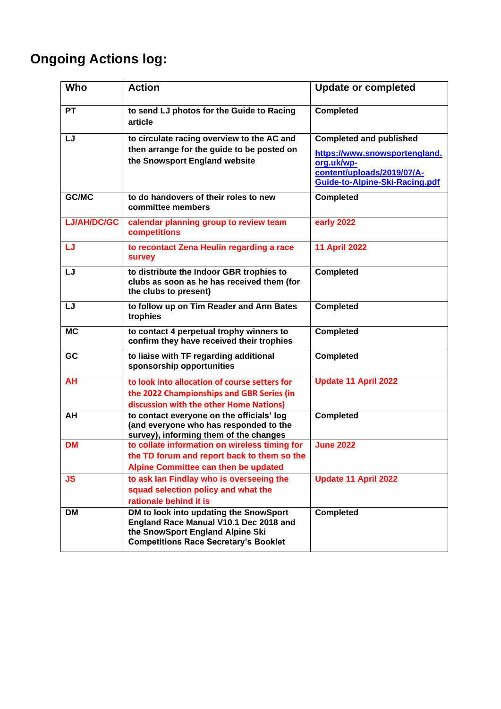# **Ongoing Actions log:**

| Who                | <b>Action</b>                                                                                                                                                        | <b>Update or completed</b>                                                                                                                    |
|--------------------|----------------------------------------------------------------------------------------------------------------------------------------------------------------------|-----------------------------------------------------------------------------------------------------------------------------------------------|
| <b>PT</b>          | to send LJ photos for the Guide to Racing<br>article                                                                                                                 | <b>Completed</b>                                                                                                                              |
| LJ                 | to circulate racing overview to the AC and<br>then arrange for the guide to be posted on<br>the Snowsport England website                                            | <b>Completed and published</b><br>https://www.snowsportengland.<br>org.uk/wp-<br>content/uploads/2019/07/A-<br>Guide-to-Alpine-Ski-Racing.pdf |
| GC/MC              | to do handovers of their roles to new<br>committee members                                                                                                           | <b>Completed</b>                                                                                                                              |
| <b>LJ/AH/DC/GC</b> | calendar planning group to review team<br>competitions                                                                                                               | early 2022                                                                                                                                    |
| LJ                 | to recontact Zena Heulin regarding a race<br><b>survey</b>                                                                                                           | <b>11 April 2022</b>                                                                                                                          |
| LJ                 | to distribute the Indoor GBR trophies to<br>clubs as soon as he has received them (for<br>the clubs to present)                                                      | <b>Completed</b>                                                                                                                              |
| LJ                 | to follow up on Tim Reader and Ann Bates<br>trophies                                                                                                                 | <b>Completed</b>                                                                                                                              |
| <b>MC</b>          | to contact 4 perpetual trophy winners to<br>confirm they have received their trophies                                                                                | <b>Completed</b>                                                                                                                              |
| GC                 | to liaise with TF regarding additional<br>sponsorship opportunities                                                                                                  | <b>Completed</b>                                                                                                                              |
| <b>AH</b>          | to look into allocation of course setters for<br>the 2022 Championships and GBR Series (in<br>discussion with the other Home Nations)                                | <b>Update 11 April 2022</b>                                                                                                                   |
| AH                 | to contact everyone on the officials' log<br>(and everyone who has responded to the<br>survey), informing them of the changes                                        | <b>Completed</b>                                                                                                                              |
| <b>DM</b>          | to collate information on wireless timing for<br>the TD forum and report back to them so the<br>Alpine Committee can then be updated                                 | <b>June 2022</b>                                                                                                                              |
| <b>JS</b>          | to ask lan Findlay who is overseeing the<br>squad selection policy and what the<br>rationale behind it is                                                            | <b>Update 11 April 2022</b>                                                                                                                   |
| DM                 | DM to look into updating the SnowSport<br>England Race Manual V10.1 Dec 2018 and<br>the SnowSport England Alpine Ski<br><b>Competitions Race Secretary's Booklet</b> | <b>Completed</b>                                                                                                                              |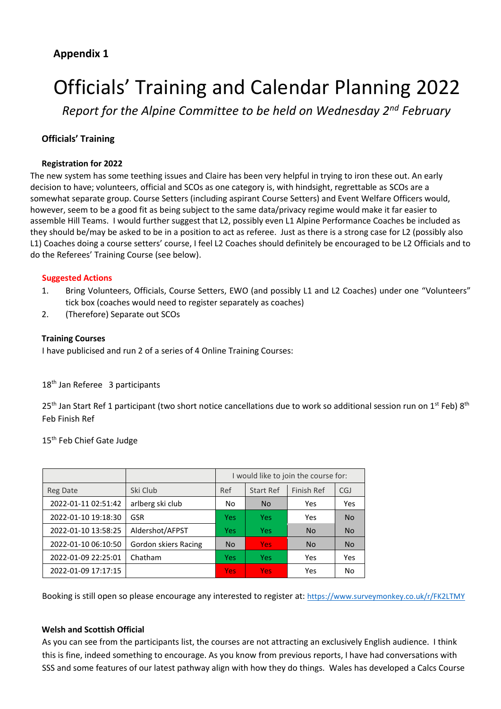## **Appendix 1**

# Officials' Training and Calendar Planning 2022

*Report for the Alpine Committee to be held on Wednesday 2nd February* 

### **Officials' Training**

### **Registration for 2022**

The new system has some teething issues and Claire has been very helpful in trying to iron these out. An early decision to have; volunteers, official and SCOs as one category is, with hindsight, regrettable as SCOs are a somewhat separate group. Course Setters (including aspirant Course Setters) and Event Welfare Officers would, however, seem to be a good fit as being subject to the same data/privacy regime would make it far easier to assemble Hill Teams. I would further suggest that L2, possibly even L1 Alpine Performance Coaches be included as they should be/may be asked to be in a position to act as referee. Just as there is a strong case for L2 (possibly also L1) Coaches doing a course setters' course, I feel L2 Coaches should definitely be encouraged to be L2 Officials and to do the Referees' Training Course (see below).

### **Suggested Actions**

- 1. Bring Volunteers, Officials, Course Setters, EWO (and possibly L1 and L2 Coaches) under one "Volunteers" tick box (coaches would need to register separately as coaches)
- 2. (Therefore) Separate out SCOs

### **Training Courses**

I have publicised and run 2 of a series of 4 Online Training Courses:

### 18<sup>th</sup> Jan Referee 3 participants

 $25<sup>th</sup>$  Jan Start Ref 1 participant (two short notice cancellations due to work so additional session run on 1<sup>st</sup> Feb) 8<sup>th</sup> Feb Finish Ref

15<sup>th</sup> Feb Chief Gate Judge

|                     |                      |            |                  | I would like to join the course for: |            |
|---------------------|----------------------|------------|------------------|--------------------------------------|------------|
| Reg Date            | Ski Club             | Ref        | <b>Start Ref</b> | Finish Ref                           | <b>CGJ</b> |
| 2022-01-11 02:51:42 | arlberg ski club     | No         | <b>No</b>        | Yes                                  | Yes        |
| 2022-01-10 19:18:30 | GSR                  | <b>Yes</b> | Yes              | Yes                                  | <b>No</b>  |
| 2022-01-10 13:58:25 | Aldershot/AFPST      | <b>Yes</b> | Yes              | <b>No</b>                            | <b>No</b>  |
| 2022-01-10 06:10:50 | Gordon skiers Racing | <b>No</b>  | <b>Yes</b>       | <b>No</b>                            | <b>No</b>  |
| 2022-01-09 22:25:01 | Chatham              | <b>Yes</b> | Yes              | Yes                                  | Yes        |
| 2022-01-09 17:17:15 |                      | <b>Yes</b> | Yes              | Yes                                  | No         |

Booking is still open so please encourage any interested to register at: <https://www.surveymonkey.co.uk/r/FK2LTMY>

### **Welsh and Scottish Official**

As you can see from the participants list, the courses are not attracting an exclusively English audience. I think this is fine, indeed something to encourage. As you know from previous reports, I have had conversations with SSS and some features of our latest pathway align with how they do things. Wales has developed a Calcs Course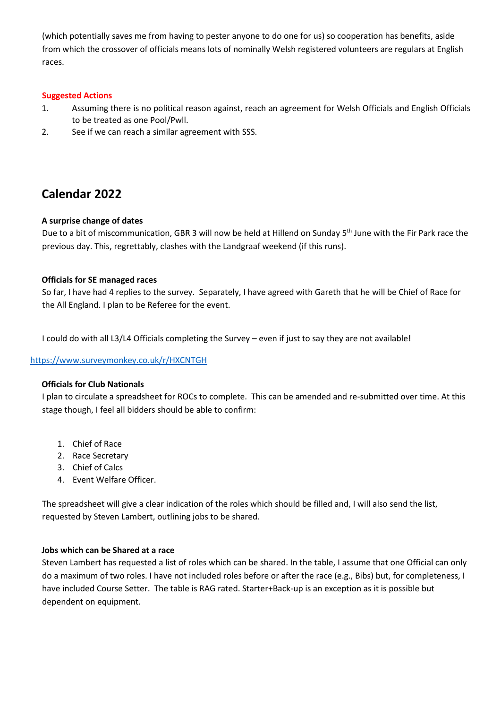(which potentially saves me from having to pester anyone to do one for us) so cooperation has benefits, aside from which the crossover of officials means lots of nominally Welsh registered volunteers are regulars at English races.

### **Suggested Actions**

- 1. Assuming there is no political reason against, reach an agreement for Welsh Officials and English Officials to be treated as one Pool/Pwll.
- 2. See if we can reach a similar agreement with SSS.

## **Calendar 2022**

### **A surprise change of dates**

Due to a bit of miscommunication, GBR 3 will now be held at Hillend on Sunday 5<sup>th</sup> June with the Fir Park race the previous day. This, regrettably, clashes with the Landgraaf weekend (if this runs).

### **Officials for SE managed races**

So far, I have had 4 replies to the survey. Separately, I have agreed with Gareth that he will be Chief of Race for the All England. I plan to be Referee for the event.

I could do with all L3/L4 Officials completing the Survey – even if just to say they are not available!

### <https://www.surveymonkey.co.uk/r/HXCNTGH>

### **Officials for Club Nationals**

I plan to circulate a spreadsheet for ROCs to complete. This can be amended and re-submitted over time. At this stage though, I feel all bidders should be able to confirm:

- 1. Chief of Race
- 2. Race Secretary
- 3. Chief of Calcs
- 4. Event Welfare Officer.

The spreadsheet will give a clear indication of the roles which should be filled and, I will also send the list, requested by Steven Lambert, outlining jobs to be shared.

### **Jobs which can be Shared at a race**

Steven Lambert has requested a list of roles which can be shared. In the table, I assume that one Official can only do a maximum of two roles. I have not included roles before or after the race (e.g., Bibs) but, for completeness, I have included Course Setter. The table is RAG rated. Starter+Back-up is an exception as it is possible but dependent on equipment.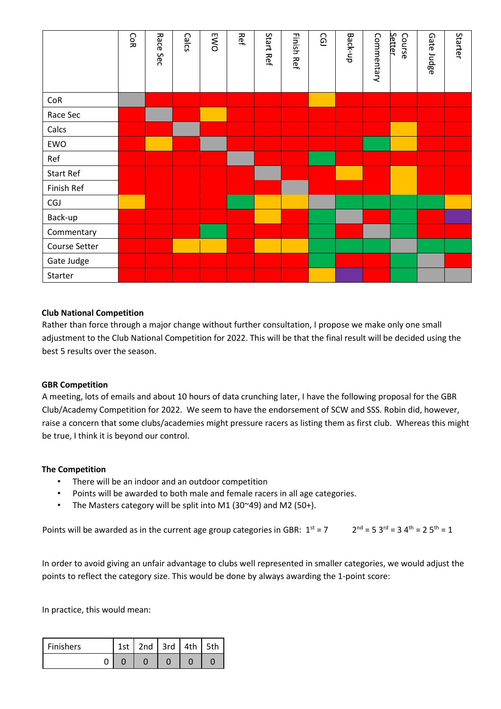|                  | <b>CoR</b> | Race<br>Sec | Calcs | <b>EWO</b> | Ref | Start Ref | <b>Finish Ref</b> | CG) | Back-up | Commentary | Setter<br>Course | Gate Judge | Starter |
|------------------|------------|-------------|-------|------------|-----|-----------|-------------------|-----|---------|------------|------------------|------------|---------|
| CoR              |            |             |       |            |     |           |                   |     |         |            |                  |            |         |
| Race Sec         |            |             |       |            |     |           |                   |     |         |            |                  |            |         |
| Calcs            |            |             |       |            |     |           |                   |     |         |            |                  |            |         |
| EWO              |            |             |       |            |     |           |                   |     |         |            |                  |            |         |
| Ref              |            |             |       |            |     |           |                   |     |         |            |                  |            |         |
| <b>Start Ref</b> |            |             |       |            |     |           |                   |     |         |            |                  |            |         |
| Finish Ref       |            |             |       |            |     |           |                   |     |         |            |                  |            |         |
| <b>CGJ</b>       |            |             |       |            |     |           |                   |     |         |            |                  |            |         |
| Back-up          |            |             |       |            |     |           |                   |     |         |            |                  |            |         |
| Commentary       |            |             |       |            |     |           |                   |     |         |            |                  |            |         |
| Course Setter    |            |             |       |            |     |           |                   |     |         |            |                  |            |         |
| Gate Judge       |            |             |       |            |     |           |                   |     |         |            |                  |            |         |
| Starter          |            |             |       |            |     |           |                   |     |         |            |                  |            |         |

### **Club National Competition**

Rather than force through a major change without further consultation, I propose we make only one small adjustment to the Club National Competition for 2022. This will be that the final result will be decided using the best 5 results over the season.

### **GBR Competition**

A meeting, lots of emails and about 10 hours of data crunching later, I have the following proposal for the GBR Club/Academy Competition for 2022. We seem to have the endorsement of SCW and SSS. Robin did, however, raise a concern that some clubs/academies might pressure racers as listing them as first club. Whereas this might be true, I think it is beyond our control.

### **The Competition**

- There will be an indoor and an outdoor competition
- Points will be awarded to both male and female racers in all age categories.
- The Masters category will be split into M1 (30~49) and M2 (50+).

```
Points will be awarded as in the current age group categories in GBR: 1^{st} = 72^{nd} = 5 3<sup>rd</sup> = 3 4<sup>th</sup> = 2 5<sup>th</sup> = 1
```
In order to avoid giving an unfair advantage to clubs well represented in smaller categories, we would adjust the points to reflect the category size. This would be done by always awarding the 1-point score:

In practice, this would mean:

| <b>Finishers</b> | 1st   2nd   3rd   4th |  | 5th |
|------------------|-----------------------|--|-----|
|                  |                       |  |     |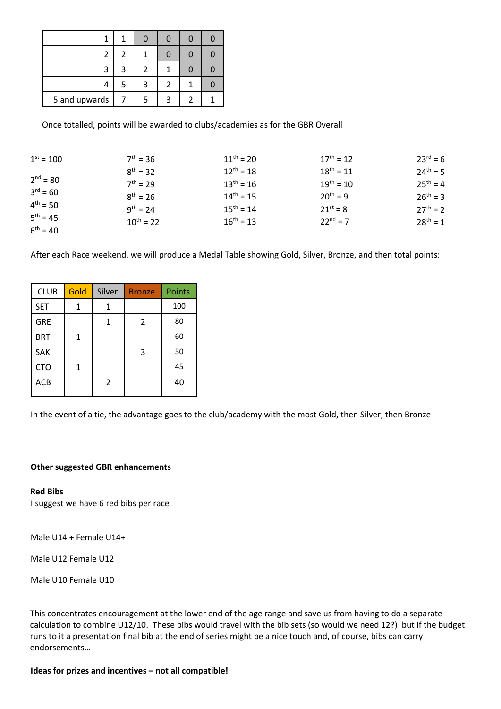| 2             | 2 |   |   |  |
|---------------|---|---|---|--|
| 3             | 3 |   |   |  |
|               | ς | ર | 2 |  |
| 5 and upwards |   |   | ₹ |  |

Once totalled, points will be awarded to clubs/academies as for the GBR Overall

| $1^{st} = 100$ | $7^{th} = 36$  | $11^{th} = 20$ | $17^{th} = 12$ | $23^{rd} = 6$ |
|----------------|----------------|----------------|----------------|---------------|
|                | $8^{th} = 32$  | $12^{th} = 18$ | $18^{th} = 11$ | $24^{th} = 5$ |
| $2^{nd} = 80$  | $7^{th} = 29$  | $13^{th} = 16$ | $19^{th} = 10$ | $25^{th} = 4$ |
| $3^{rd} = 60$  | $8^{th} = 26$  | $14^{th} = 15$ | $20^{th} = 9$  | $26^{th} = 3$ |
| $4^{th} = 50$  | $9^{th} = 24$  | $15^{th} = 14$ | $21^{st} = 8$  | $27^{th} = 2$ |
| $5^{th} = 45$  | $10^{th} = 22$ | $16^{th} = 13$ | $22^{nd} = 7$  | $28^{th} = 1$ |
| $6^{th} = 40$  |                |                |                |               |

After each Race weekend, we will produce a Medal Table showing Gold, Silver, Bronze, and then total points:

| <b>CLUB</b> | Gold | Silver | <b>Bronze</b> | Points |
|-------------|------|--------|---------------|--------|
| <b>SET</b>  | 1    | 1      |               | 100    |
| <b>GRE</b>  |      |        | 2             | 80     |
| <b>BRT</b>  |      |        |               | 60     |
| SAK         |      |        | 3             | 50     |
| <b>CTO</b>  |      |        |               | 45     |
| <b>ACB</b>  |      | 2      |               | 40     |

In the event of a tie, the advantage goes to the club/academy with the most Gold, then Silver, then Bronze

### **Other suggested GBR enhancements**

#### **Red Bibs**

I suggest we have 6 red bibs per race

Male U14 + Female U14+

Male U12 Female U12

Male U10 Female U10

This concentrates encouragement at the lower end of the age range and save us from having to do a separate calculation to combine U12/10. These bibs would travel with the bib sets (so would we need 12?) but if the budget runs to it a presentation final bib at the end of series might be a nice touch and, of course, bibs can carry endorsements…

**Ideas for prizes and incentives – not all compatible!**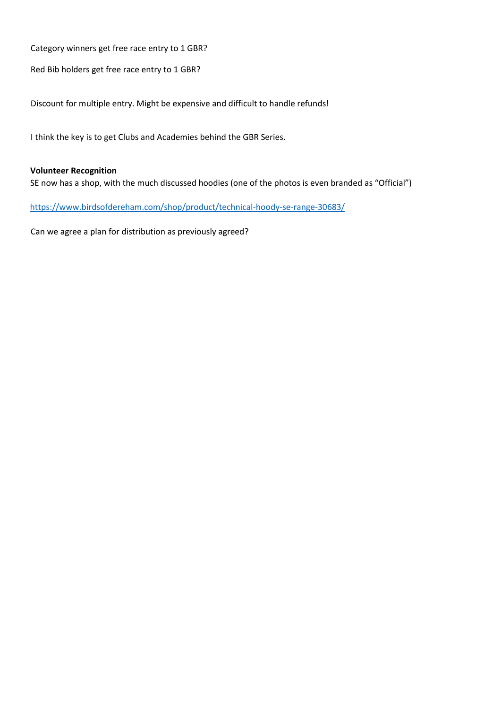Category winners get free race entry to 1 GBR?

Red Bib holders get free race entry to 1 GBR?

Discount for multiple entry. Might be expensive and difficult to handle refunds!

I think the key is to get Clubs and Academies behind the GBR Series.

### **Volunteer Recognition**

SE now has a shop, with the much discussed hoodies (one of the photos is even branded as "Official")

<https://www.birdsofdereham.com/shop/product/technical-hoody-se-range-30683/>

Can we agree a plan for distribution as previously agreed?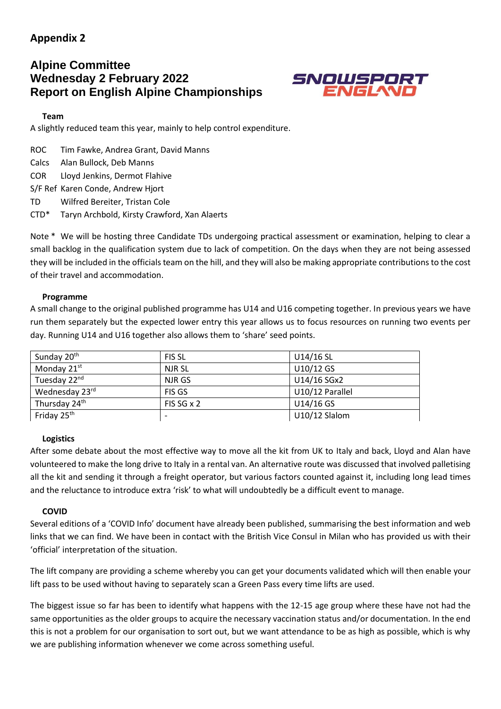## **Appendix 2**

## **Alpine Committee Wednesday 2 February 2022 Report on English Alpine Championships**



### **Team**

A slightly reduced team this year, mainly to help control expenditure.

ROC Tim Fawke, Andrea Grant, David Manns

Calcs Alan Bullock, Deb Manns

COR Lloyd Jenkins, Dermot Flahive

S/F Ref Karen Conde, Andrew Hjort

TD Wilfred Bereiter, Tristan Cole

CTD\* Taryn Archbold, Kirsty Crawford, Xan Alaerts

Note \* We will be hosting three Candidate TDs undergoing practical assessment or examination, helping to clear a small backlog in the qualification system due to lack of competition. On the days when they are not being assessed they will be included in the officials team on the hill, and they will also be making appropriate contributions to the cost of their travel and accommodation.

### **Programme**

A small change to the original published programme has U14 and U16 competing together. In previous years we have run them separately but the expected lower entry this year allows us to focus resources on running two events per day. Running U14 and U16 together also allows them to 'share' seed points.

| Sunday 20 <sup>th</sup> | <b>FIS SL</b>            | $U14/16$ SL     |
|-------------------------|--------------------------|-----------------|
| Monday 21 <sup>st</sup> | NJR SL                   | U10/12 GS       |
| Tuesday 22nd            | NJR GS                   | U14/16 SGx2     |
| Wednesday 23rd          | <b>FIS GS</b>            | U10/12 Parallel |
| Thursday 24th           | FIS SG x 2               | U14/16 GS       |
| Friday 25 <sup>th</sup> | $\overline{\phantom{0}}$ | U10/12 Slalom   |

### **Logistics**

After some debate about the most effective way to move all the kit from UK to Italy and back, Lloyd and Alan have volunteered to make the long drive to Italy in a rental van. An alternative route was discussed that involved palletising all the kit and sending it through a freight operator, but various factors counted against it, including long lead times and the reluctance to introduce extra 'risk' to what will undoubtedly be a difficult event to manage.

### **COVID**

Several editions of a 'COVID Info' document have already been published, summarising the best information and web links that we can find. We have been in contact with the British Vice Consul in Milan who has provided us with their 'official' interpretation of the situation.

The lift company are providing a scheme whereby you can get your documents validated which will then enable your lift pass to be used without having to separately scan a Green Pass every time lifts are used.

The biggest issue so far has been to identify what happens with the 12-15 age group where these have not had the same opportunities as the older groups to acquire the necessary vaccination status and/or documentation. In the end this is not a problem for our organisation to sort out, but we want attendance to be as high as possible, which is why we are publishing information whenever we come across something useful.